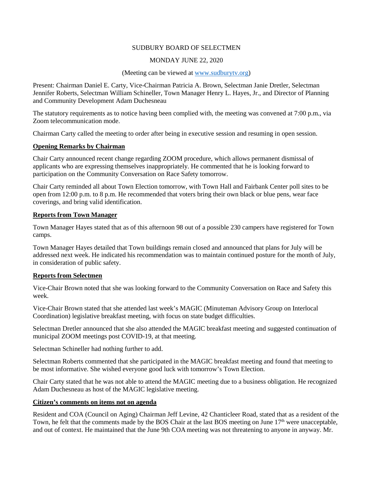### SUDBURY BOARD OF SELECTMEN

### MONDAY JUNE 22, 2020

#### (Meeting can be viewed at [www.sudburytv.org\)](http://www.sudburytv.org/)

Present: Chairman Daniel E. Carty, Vice-Chairman Patricia A. Brown, Selectman Janie Dretler, Selectman Jennifer Roberts, Selectman William Schineller, Town Manager Henry L. Hayes, Jr., and Director of Planning and Community Development Adam Duchesneau

The statutory requirements as to notice having been complied with, the meeting was convened at 7:00 p.m., via Zoom telecommunication mode.

Chairman Carty called the meeting to order after being in executive session and resuming in open session.

#### **Opening Remarks by Chairman**

Chair Carty announced recent change regarding ZOOM procedure, which allows permanent dismissal of applicants who are expressing themselves inappropriately. He commented that he is looking forward to participation on the Community Conversation on Race Safety tomorrow.

Chair Carty reminded all about Town Election tomorrow, with Town Hall and Fairbank Center poll sites to be open from 12:00 p.m. to 8 p.m. He recommended that voters bring their own black or blue pens, wear face coverings, and bring valid identification.

#### **Reports from Town Manager**

Town Manager Hayes stated that as of this afternoon 98 out of a possible 230 campers have registered for Town camps.

Town Manager Hayes detailed that Town buildings remain closed and announced that plans for July will be addressed next week. He indicated his recommendation was to maintain continued posture for the month of July, in consideration of public safety.

#### **Reports from Selectmen**

Vice-Chair Brown noted that she was looking forward to the Community Conversation on Race and Safety this week.

Vice-Chair Brown stated that she attended last week's MAGIC (Minuteman Advisory Group on Interlocal Coordination) legislative breakfast meeting, with focus on state budget difficulties.

Selectman Dretler announced that she also attended the MAGIC breakfast meeting and suggested continuation of municipal ZOOM meetings post COVID-19, at that meeting.

Selectman Schineller had nothing further to add.

Selectman Roberts commented that she participated in the MAGIC breakfast meeting and found that meeting to be most informative. She wished everyone good luck with tomorrow's Town Election.

Chair Carty stated that he was not able to attend the MAGIC meeting due to a business obligation. He recognized Adam Duchesneau as host of the MAGIC legislative meeting.

## **Citizen's comments on items not on agenda**

Resident and COA (Council on Aging) Chairman Jeff Levine, 42 Chanticleer Road, stated that as a resident of the Town, he felt that the comments made by the BOS Chair at the last BOS meeting on June 17<sup>th</sup> were unacceptable, and out of context. He maintained that the June 9th COA meeting was not threatening to anyone in anyway. Mr.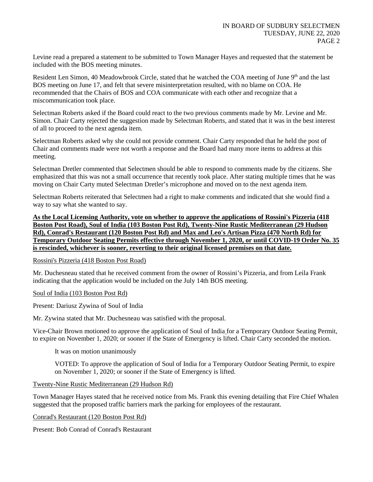Levine read a prepared a statement to be submitted to Town Manager Hayes and requested that the statement be included with the BOS meeting minutes.

Resident Len Simon, 40 Meadowbrook Circle, stated that he watched the COA meeting of June 9<sup>th</sup> and the last BOS meeting on June 17, and felt that severe misinterpretation resulted, with no blame on COA. He recommended that the Chairs of BOS and COA communicate with each other and recognize that a miscommunication took place.

Selectman Roberts asked if the Board could react to the two previous comments made by Mr. Levine and Mr. Simon. Chair Carty rejected the suggestion made by Selectman Roberts, and stated that it was in the best interest of all to proceed to the next agenda item.

Selectman Roberts asked why she could not provide comment. Chair Carty responded that he held the post of Chair and comments made were not worth a response and the Board had many more items to address at this meeting.

Selectman Dretler commented that Selectmen should be able to respond to comments made by the citizens. She emphasized that this was not a small occurrence that recently took place. After stating multiple times that he was moving on Chair Carty muted Selectman Dretler's microphone and moved on to the next agenda item.

Selectman Roberts reiterated that Selectmen had a right to make comments and indicated that she would find a way to say what she wanted to say.

**As the Local Licensing Authority, vote on whether to approve the applications of Rossini's Pizzeria (418 Boston Post Road), Soul of India (103 Boston Post Rd), Twenty-Nine Rustic Mediterranean (29 Hudson Rd), Conrad's Restaurant (120 Boston Post Rd) and Max and Leo's Artisan Pizza (470 North Rd) for Temporary Outdoor Seating Permits effective through November 1, 2020, or until COVID-19 Order No. 35 is rescinded, whichever is sooner, reverting to their original licensed premises on that date.** 

Rossini's Pizzeria (418 Boston Post Road)

Mr. Duchesneau stated that he received comment from the owner of Rossini's Pizzeria, and from Leila Frank indicating that the application would be included on the July 14th BOS meeting.

Soul of India (103 Boston Post Rd)

Present: Dariusz Zywina of Soul of India

Mr. Zywina stated that Mr. Duchesneau was satisfied with the proposal.

Vice-Chair Brown motioned to approve the application of Soul of India for a Temporary Outdoor Seating Permit, to expire on November 1, 2020; or sooner if the State of Emergency is lifted. Chair Carty seconded the motion.

It was on motion unanimously

VOTED: To approve the application of Soul of India for a Temporary Outdoor Seating Permit, to expire on November 1, 2020; or sooner if the State of Emergency is lifted.

Twenty-Nine Rustic Mediterranean (29 Hudson Rd)

Town Manager Hayes stated that he received notice from Ms. Frank this evening detailing that Fire Chief Whalen suggested that the proposed traffic barriers mark the parking for employees of the restaurant.

Conrad's Restaurant (120 Boston Post Rd)

Present: Bob Conrad of Conrad's Restaurant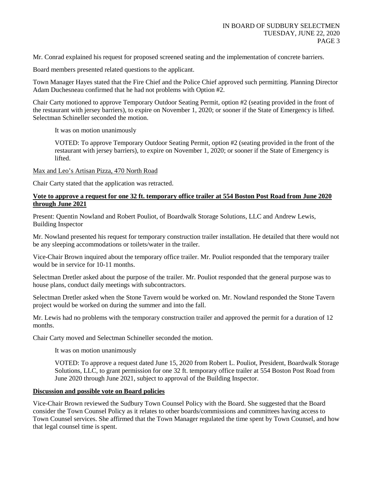Mr. Conrad explained his request for proposed screened seating and the implementation of concrete barriers.

Board members presented related questions to the applicant.

Town Manager Hayes stated that the Fire Chief and the Police Chief approved such permitting. Planning Director Adam Duchesneau confirmed that he had not problems with Option #2.

Chair Carty motioned to approve Temporary Outdoor Seating Permit, option #2 (seating provided in the front of the restaurant with jersey barriers), to expire on November 1, 2020; or sooner if the State of Emergency is lifted. Selectman Schineller seconded the motion.

It was on motion unanimously

VOTED: To approve Temporary Outdoor Seating Permit, option #2 (seating provided in the front of the restaurant with jersey barriers), to expire on November 1, 2020; or sooner if the State of Emergency is lifted.

Max and Leo's Artisan Pizza, 470 North Road

Chair Carty stated that the application was retracted.

## **Vote to approve a request for one 32 ft. temporary office trailer at 554 Boston Post Road from June 2020 through June 2021**

Present: Quentin Nowland and Robert Pouliot, of Boardwalk Storage Solutions, LLC and Andrew Lewis, Building Inspector

Mr. Nowland presented his request for temporary construction trailer installation. He detailed that there would not be any sleeping accommodations or toilets/water in the trailer.

Vice-Chair Brown inquired about the temporary office trailer. Mr. Pouliot responded that the temporary trailer would be in service for 10-11 months.

Selectman Dretler asked about the purpose of the trailer. Mr. Pouliot responded that the general purpose was to house plans, conduct daily meetings with subcontractors.

Selectman Dretler asked when the Stone Tavern would be worked on. Mr. Nowland responded the Stone Tavern project would be worked on during the summer and into the fall.

Mr. Lewis had no problems with the temporary construction trailer and approved the permit for a duration of 12 months.

Chair Carty moved and Selectman Schineller seconded the motion.

It was on motion unanimously

VOTED: To approve a request dated June 15, 2020 from Robert L. Pouliot, President, Boardwalk Storage Solutions, LLC, to grant permission for one 32 ft. temporary office trailer at 554 Boston Post Road from June 2020 through June 2021, subject to approval of the Building Inspector.

## **Discussion and possible vote on Board policies**

Vice-Chair Brown reviewed the Sudbury Town Counsel Policy with the Board. She suggested that the Board consider the Town Counsel Policy as it relates to other boards/commissions and committees having access to Town Counsel services. She affirmed that the Town Manager regulated the time spent by Town Counsel, and how that legal counsel time is spent.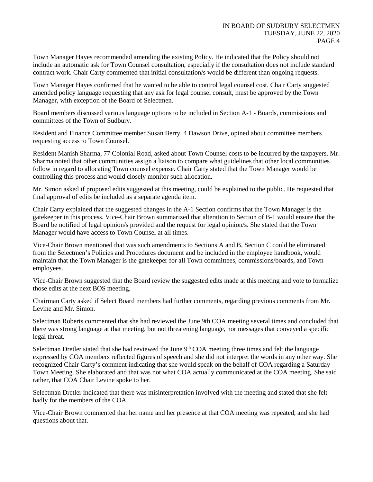Town Manager Hayes recommended amending the existing Policy. He indicated that the Policy should not include an automatic ask for Town Counsel consultation, especially if the consultation does not include standard contract work. Chair Carty commented that initial consultation/s would be different than ongoing requests.

Town Manager Hayes confirmed that he wanted to be able to control legal counsel cost. Chair Carty suggested amended policy language requesting that any ask for legal counsel consult, must be approved by the Town Manager, with exception of the Board of Selectmen.

Board members discussed various language options to be included in Section A-1 - Boards, commissions and committees of the Town of Sudbury.

Resident and Finance Committee member Susan Berry, 4 Dawson Drive, opined about committee members requesting access to Town Counsel.

Resident Manish Sharma, 77 Colonial Road, asked about Town Counsel costs to be incurred by the taxpayers. Mr. Sharma noted that other communities assign a liaison to compare what guidelines that other local communities follow in regard to allocating Town counsel expense. Chair Carty stated that the Town Manager would be controlling this process and would closely monitor such allocation.

Mr. Simon asked if proposed edits suggested at this meeting, could be explained to the public. He requested that final approval of edits be included as a separate agenda item.

Chair Carty explained that the suggested changes in the A-1 Section confirms that the Town Manager is the gatekeeper in this process. Vice-Chair Brown summarized that alteration to Section of B-1 would ensure that the Board be notified of legal opinion/s provided and the request for legal opinion/s. She stated that the Town Manager would have access to Town Counsel at all times.

Vice-Chair Brown mentioned that was such amendments to Sections A and B, Section C could be eliminated from the Selectmen's Policies and Procedures document and be included in the employee handbook, would maintain that the Town Manager is the gatekeeper for all Town committees, commissions/boards, and Town employees.

Vice-Chair Brown suggested that the Board review the suggested edits made at this meeting and vote to formalize those edits at the next BOS meeting.

Chairman Carty asked if Select Board members had further comments, regarding previous comments from Mr. Levine and Mr. Simon.

Selectman Roberts commented that she had reviewed the June 9th COA meeting several times and concluded that there was strong language at that meeting, but not threatening language, nor messages that conveyed a specific legal threat.

Selectman Dretler stated that she had reviewed the June  $9<sup>th</sup> COA$  meeting three times and felt the language expressed by COA members reflected figures of speech and she did not interpret the words in any other way. She recognized Chair Carty's comment indicating that she would speak on the behalf of COA regarding a Saturday Town Meeting. She elaborated and that was not what COA actually communicated at the COA meeting. She said rather, that COA Chair Levine spoke to her.

Selectman Dretler indicated that there was misinterpretation involved with the meeting and stated that she felt badly for the members of the COA.

Vice-Chair Brown commented that her name and her presence at that COA meeting was repeated, and she had questions about that.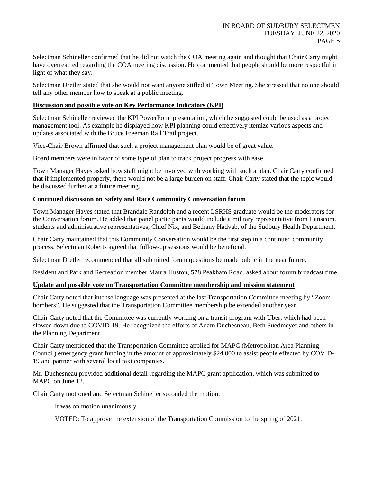Selectman Schineller confirmed that he did not watch the COA meeting again and thought that Chair Carty might have overreacted regarding the COA meeting discussion. He commented that people should be more respectful in light of what they say.

Selectman Dretler stated that she would not want anyone stifled at Town Meeting. She stressed that no one should tell any other member how to speak at a public meeting.

## **Discussion and possible vote on Key Performance Indicators (KPI)**

Selectman Schineller reviewed the KPI PowerPoint presentation, which he suggested could be used as a project management tool. As example he displayed how KPI planning could effectively itemize various aspects and updates associated with the Bruce Freeman Rail Trail project.

Vice-Chair Brown affirmed that such a project management plan would be of great value.

Board members were in favor of some type of plan to track project progress with ease.

Town Manager Hayes asked how staff might be involved with working with such a plan. Chair Carty confirmed that if implemented properly, there would not be a large burden on staff. Chair Carty stated that the topic would be discussed further at a future meeting.

## **Continued discussion on Safety and Race Community Conversation forum**

Town Manager Hayes stated that Brandale Randolph and a recent LSRHS graduate would be the moderators for the Conversation forum. He added that panel participants would include a military representative from Hanscom, students and administrative representatives, Chief Nix, and Bethany Hadvab, of the Sudbury Health Department.

Chair Carty maintained that this Community Conversation would be the first step in a continued community process. Selectman Roberts agreed that follow-up sessions would be beneficial.

Selectman Dretler recommended that all submitted forum questions be made public in the near future.

Resident and Park and Recreation member Maura Huston, 578 Peakham Road, asked about forum broadcast time.

#### **Update and possible vote on Transportation Committee membership and mission statement**

Chair Carty noted that intense language was presented at the last Transportation Committee meeting by "Zoom bombers". He suggested that the Transportation Committee membership be extended another year.

Chair Carty noted that the Committee was currently working on a transit program with Uber, which had been slowed down due to COVID-19. He recognized the efforts of Adam Duchesneau, Beth Suedmeyer and others in the Planning Department.

Chair Carty mentioned that the Transportation Committee applied for MAPC (Metropolitan Area Planning Council) emergency grant funding in the amount of approximately \$24,000 to assist people effected by COVID-19 and partner with several local taxi companies.

Mr. Duchesneau provided additional detail regarding the MAPC grant application, which was submitted to MAPC on June 12.

Chair Carty motioned and Selectman Schineller seconded the motion.

It was on motion unanimously

VOTED: To approve the extension of the Transportation Commission to the spring of 2021.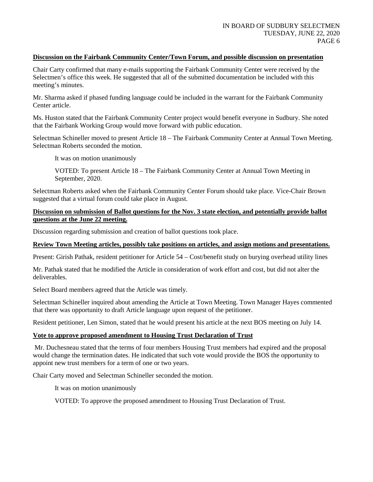## **Discussion on the Fairbank Community Center/Town Forum, and possible discussion on presentation**

Chair Carty confirmed that many e-mails supporting the Fairbank Community Center were received by the Selectmen's office this week. He suggested that all of the submitted documentation be included with this meeting's minutes.

Mr. Sharma asked if phased funding language could be included in the warrant for the Fairbank Community Center article.

Ms. Huston stated that the Fairbank Community Center project would benefit everyone in Sudbury. She noted that the Fairbank Working Group would move forward with public education.

Selectman Schineller moved to present Article 18 – The Fairbank Community Center at Annual Town Meeting. Selectman Roberts seconded the motion.

It was on motion unanimously

VOTED: To present Article 18 – The Fairbank Community Center at Annual Town Meeting in September, 2020.

Selectman Roberts asked when the Fairbank Community Center Forum should take place. Vice-Chair Brown suggested that a virtual forum could take place in August.

## **Discussion on submission of Ballot questions for the Nov. 3 state election, and potentially provide ballot questions at the June 22 meeting.**

Discussion regarding submission and creation of ballot questions took place.

## **Review Town Meeting articles, possibly take positions on articles, and assign motions and presentations.**

Present: Girish Pathak, resident petitioner for Article 54 – Cost/benefit study on burying overhead utility lines

Mr. Pathak stated that he modified the Article in consideration of work effort and cost, but did not alter the deliverables.

Select Board members agreed that the Article was timely.

Selectman Schineller inquired about amending the Article at Town Meeting. Town Manager Hayes commented that there was opportunity to draft Article language upon request of the petitioner.

Resident petitioner, Len Simon, stated that he would present his article at the next BOS meeting on July 14.

## **Vote to approve proposed amendment to Housing Trust Declaration of Trust**

Mr. Duchesneau stated that the terms of four members Housing Trust members had expired and the proposal would change the termination dates. He indicated that such vote would provide the BOS the opportunity to appoint new trust members for a term of one or two years.

Chair Carty moved and Selectman Schineller seconded the motion.

It was on motion unanimously

VOTED: To approve the proposed amendment to Housing Trust Declaration of Trust.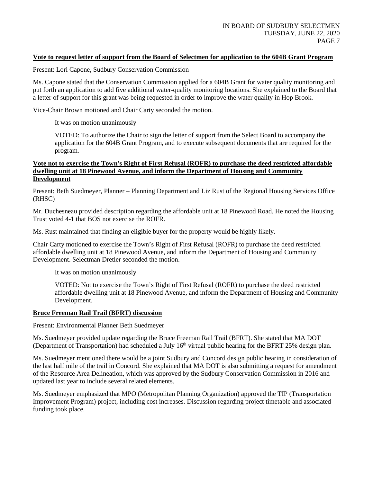## **Vote to request letter of support from the Board of Selectmen for application to the 604B Grant Program**

Present: Lori Capone, Sudbury Conservation Commission

Ms. Capone stated that the Conservation Commission applied for a 604B Grant for water quality monitoring and put forth an application to add five additional water-quality monitoring locations. She explained to the Board that a letter of support for this grant was being requested in order to improve the water quality in Hop Brook.

Vice-Chair Brown motioned and Chair Carty seconded the motion.

It was on motion unanimously

VOTED: To authorize the Chair to sign the letter of support from the Select Board to accompany the application for the 604B Grant Program, and to execute subsequent documents that are required for the program.

#### **Vote not to exercise the Town's Right of First Refusal (ROFR) to purchase the deed restricted affordable dwelling unit at 18 Pinewood Avenue, and inform the Department of Housing and Community Development**

Present: Beth Suedmeyer, Planner – Planning Department and Liz Rust of the Regional Housing Services Office (RHSC)

Mr. Duchesneau provided description regarding the affordable unit at 18 Pinewood Road. He noted the Housing Trust voted 4-1 that BOS not exercise the ROFR.

Ms. Rust maintained that finding an eligible buyer for the property would be highly likely.

Chair Carty motioned to exercise the Town's Right of First Refusal (ROFR) to purchase the deed restricted affordable dwelling unit at 18 Pinewood Avenue, and inform the Department of Housing and Community Development. Selectman Dretler seconded the motion.

It was on motion unanimously

VOTED: Not to exercise the Town's Right of First Refusal (ROFR) to purchase the deed restricted affordable dwelling unit at 18 Pinewood Avenue, and inform the Department of Housing and Community Development.

## **Bruce Freeman Rail Trail (BFRT) discussion**

Present: Environmental Planner Beth Suedmeyer

Ms. Suedmeyer provided update regarding the Bruce Freeman Rail Trail (BFRT). She stated that MA DOT (Department of Transportation) had scheduled a July 16th virtual public hearing for the BFRT 25% design plan.

Ms. Suedmeyer mentioned there would be a joint Sudbury and Concord design public hearing in consideration of the last half mile of the trail in Concord. She explained that MA DOT is also submitting a request for amendment of the Resource Area Delineation, which was approved by the Sudbury Conservation Commission in 2016 and updated last year to include several related elements.

Ms. Suedmeyer emphasized that MPO (Metropolitan Planning Organization) approved the TIP (Transportation Improvement Program) project, including cost increases. Discussion regarding project timetable and associated funding took place.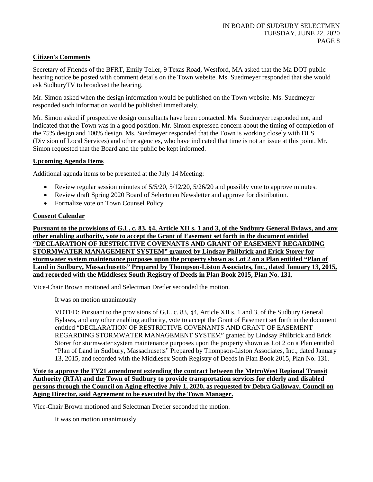## **Citizen's Comments**

Secretary of Friends of the BFRT, Emily Teller, 9 Texas Road, Westford, MA asked that the Ma DOT public hearing notice be posted with comment details on the Town website. Ms. Suedmeyer responded that she would ask SudburyTV to broadcast the hearing.

Mr. Simon asked when the design information would be published on the Town website. Ms. Suedmeyer responded such information would be published immediately.

Mr. Simon asked if prospective design consultants have been contacted. Ms. Suedmeyer responded not, and indicated that the Town was in a good position. Mr. Simon expressed concern about the timing of completion of the 75% design and 100% design. Ms. Suedmeyer responded that the Town is working closely with DLS (Division of Local Services) and other agencies, who have indicated that time is not an issue at this point. Mr. Simon requested that the Board and the public be kept informed.

## **Upcoming Agenda Items**

Additional agenda items to be presented at the July 14 Meeting:

- Review regular session minutes of  $5/5/20$ ,  $5/12/20$ ,  $5/26/20$  and possibly vote to approve minutes.
- Review draft Spring 2020 Board of Selectmen Newsletter and approve for distribution.
- Formalize vote on Town Counsel Policy

## **Consent Calendar**

**Pursuant to the provisions of G.L. c. 83, §4, Article XII s. 1 and 3, of the Sudbury General Bylaws, and any other enabling authority, vote to accept the Grant of Easement set forth in the document entitled "DECLARATION OF RESTRICTIVE COVENANTS AND GRANT OF EASEMENT REGARDING STORMWATER MANAGEMENT SYSTEM" granted by Lindsay Philbrick and Erick Storer for stormwater system maintenance purposes upon the property shown as Lot 2 on a Plan entitled "Plan of Land in Sudbury, Massachusetts" Prepared by Thompson-Liston Associates, Inc., dated January 13, 2015, and recorded with the Middlesex South Registry of Deeds in Plan Book 2015, Plan No. 131.**

Vice-Chair Brown motioned and Selectman Dretler seconded the motion.

It was on motion unanimously

VOTED: Pursuant to the provisions of G.L. c. 83, §4, Article XII s. 1 and 3, of the Sudbury General Bylaws, and any other enabling authority, vote to accept the Grant of Easement set forth in the document entitled "DECLARATION OF RESTRICTIVE COVENANTS AND GRANT OF EASEMENT REGARDING STORMWATER MANAGEMENT SYSTEM" granted by Lindsay Philbrick and Erick Storer for stormwater system maintenance purposes upon the property shown as Lot 2 on a Plan entitled "Plan of Land in Sudbury, Massachusetts" Prepared by Thompson-Liston Associates, Inc., dated January 13, 2015, and recorded with the Middlesex South Registry of Deeds in Plan Book 2015, Plan No. 131.

**Vote to approve the FY21 amendment extending the contract between the MetroWest Regional Transit Authority (RTA) and the Town of Sudbury to provide transportation services for elderly and disabled persons through the Council on Aging effective July 1, 2020, as requested by Debra Galloway, Council on Aging Director, said Agreement to be executed by the Town Manager.**

Vice-Chair Brown motioned and Selectman Dretler seconded the motion.

It was on motion unanimously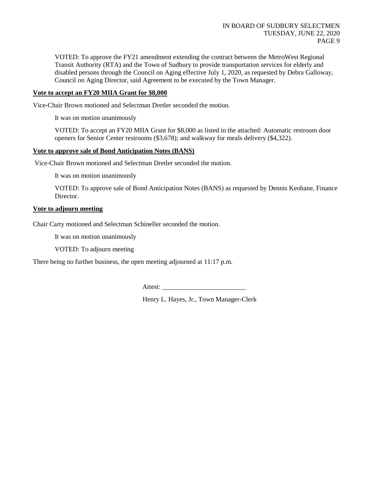VOTED: To approve the FY21 amendment extending the contract between the MetroWest Regional Transit Authority (RTA) and the Town of Sudbury to provide transportation services for elderly and disabled persons through the Council on Aging effective July 1, 2020, as requested by Debra Galloway, Council on Aging Director, said Agreement to be executed by the Town Manager.

## **Vote to accept an FY20 MIIA Grant for \$8,000**

Vice-Chair Brown motioned and Selectman Dretler seconded the motion.

It was on motion unanimously

VOTED: To accept an FY20 MIIA Grant for \$8,000 as listed in the attached: Automatic restroom door openers for Senior Center restrooms (\$3,678); and walkway for meals delivery (\$4,322).

### **Vote to approve sale of Bond Anticipation Notes (BANS)**

Vice-Chair Brown motioned and Selectman Dretler seconded the motion.

It was on motion unanimously

VOTED: To approve sale of Bond Anticipation Notes (BANS) as requested by Dennis Keohane, Finance Director.

#### **Vote to adjourn meeting**

Chair Carty motioned and Selectman Schineller seconded the motion.

It was on motion unanimously

VOTED: To adjourn meeting

There being no further business, the open meeting adjourned at 11:17 p.m.

Attest:

Henry L. Hayes, Jr., Town Manager-Clerk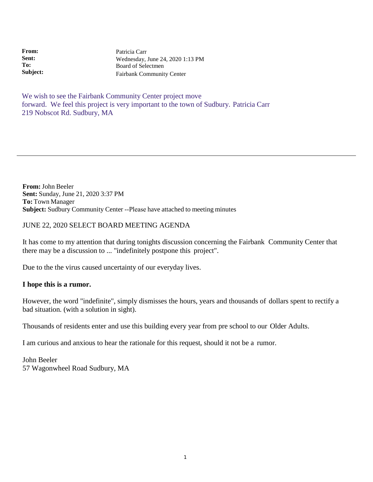**From: Sent: To: Subject:** Patricia Carr Wednesday, June 24, 2020 1:13 PM Board of Selectmen Fairbank Community Center

We wish to see the Fairbank Community Center project move forward. We feel this project is very important to the town of Sudbury. Patricia Carr 219 Nobscot Rd. Sudbury, MA

**From:** John Beeler **Sent:** Sunday, June 21, 2020 3:37 PM **To:** Town Manager **Subject:** Sudbury Community Center ‐‐Please have attached to meeting minutes

# JUNE 22, 2020 SELECT BOARD MEETING AGENDA

It has come to my attention that during tonights discussion concerning the Fairbank Community Center that there may be a discussion to ... "indefinitely postpone this project".

Due to the the virus caused uncertainty of our everyday lives.

# **I hope this is a rumor.**

However, the word "indefinite", simply dismisses the hours, years and thousands of dollars spent to rectify a bad situation. (with a solution in sight).

Thousands of residents enter and use this building every year from pre school to our Older Adults.

I am curious and anxious to hear the rationale for this request, should it not be a rumor.

John Beeler 57 Wagonwheel Road Sudbury, MA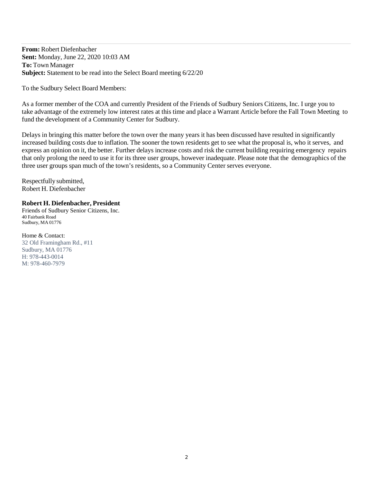**From:** Robert Diefenbacher **Sent:** Monday, June 22, 2020 10:03 AM **To:** Town Manager **Subject:** Statement to be read into the Select Board meeting 6/22/20

To the Sudbury Select Board Members:

As a former member of the COA and currently President of the Friends of Sudbury Seniors Citizens, Inc. I urge you to take advantage of the extremely low interest rates at this time and place a Warrant Article before the Fall Town Meeting to fund the development of a Community Center for Sudbury.

Delays in bringing this matter before the town over the many years it has been discussed have resulted in significantly increased building costs due to inflation. The sooner the town residents get to see what the proposal is, who it serves, and express an opinion on it, the better. Further delays increase costs and risk the current building requiring emergency repairs that only prolong the need to use it for its three user groups, however inadequate. Please note that the demographics of the three user groups span much of the town's residents, so a Community Center serves everyone.

Respectfully submitted, Robert H. Diefenbacher

#### **Robert H. Diefenbacher, President**

Friends of Sudbury Senior Citizens, Inc. 40 Fairbank Road Sudbury, MA 01776

Home & Contact: 32 Old Framingham Rd., #11 Sudbury, MA 01776 H: 978-443-0014 M: 978-460-7979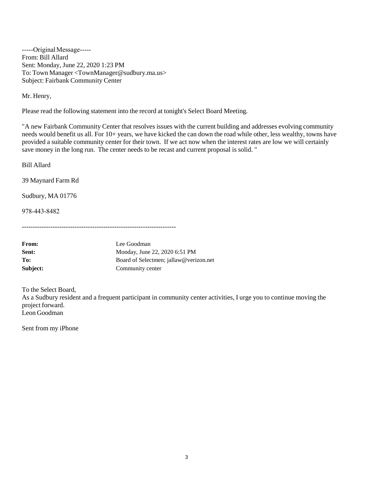-----Original Message-----From: Bill Allard Sent: Monday, June 22, 2020 1:23 PM To: Town Manager [<TownManager@sudbury.ma.us>](mailto:TownManager@sudbury.ma.us) Subject: Fairbank Community Center

Mr. Henry,

Please read the following statement into the record at tonight's Select Board Meeting.

"A new Fairbank Community Center that resolves issues with the current building and addresses evolving community needs would benefit us all. For 10+ years, we have kicked the can down the road while other, less wealthy, towns have provided a suitable community center for their town. If we act now when the interest rates are low we will certainly save money in the long run. The center needs to be recast and current proposal is solid. "

Bill Allard

39 Maynard Farm Rd

Sudbury, MA 01776

978‐443‐8482

----------------------------------------------------------------------

| <b>From:</b> | Lee Goodman                            |
|--------------|----------------------------------------|
| <b>Sent:</b> | Monday, June 22, 2020 6:51 PM          |
| To:          | Board of Selectmen; jallaw@verizon.net |
| Subject:     | Community center                       |

To the Select Board, As a Sudbury resident and a frequent participant in community center activities, I urge you to continue moving the project forward. Leon Goodman

Sent from my iPhone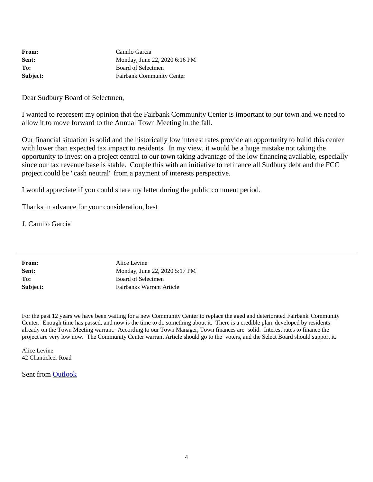| <b>From:</b> | Camilo Garcia                    |
|--------------|----------------------------------|
| Sent:        | Monday, June 22, 2020 6:16 PM    |
| To:          | Board of Selectmen               |
| Subject:     | <b>Fairbank Community Center</b> |

Dear Sudbury Board of Selectmen,

I wanted to represent my opinion that the Fairbank Community Center is important to our town and we need to allow it to move forward to the Annual Town Meeting in the fall.

Our financial situation is solid and the historically low interest rates provide an opportunity to build this center with lower than expected tax impact to residents. In my view, it would be a huge mistake not taking the opportunity to invest on a project central to our town taking advantage of the low financing available, especially since our tax revenue base is stable. Couple this with an initiative to refinance all Sudbury debt and the FCC project could be "cash neutral" from a payment of interests perspective.

I would appreciate if you could share my letter during the public comment period.

Thanks in advance for your consideration, best

J. Camilo Garcia

| From:    |
|----------|
| Sent:    |
| To:      |
| Subject: |

**Alice Levine Sent:** Monday, June 22, 2020 5:17 PM **To:** Board of Selectmen **Subject:** Fairbanks Warrant Article

For the past 12 years we have been waiting for a new Community Center to replace the aged and deteriorated Fairbank Community Center. Enough time has passed, and now is the time to do something about it. There is a credible plan developed by residents already on the Town Meeting warrant. According to our Town Manager, Town finances are solid. Interest rates to finance the project are very low now. The Community Center warrant Article should go to the voters, and the Select Board should support it.

Alice Levine 42 Chanticleer Road

Sent from Outlook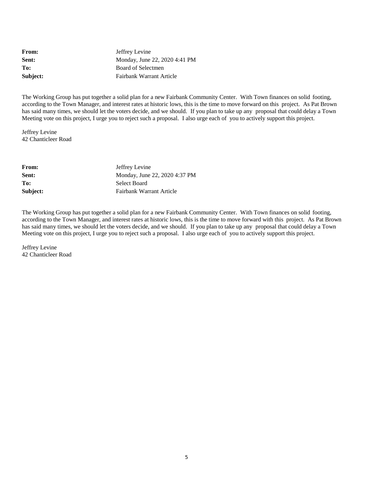From: **Jeffrey Levine Sent:** Monday, June 22, 2020 4:41 PM To: Board of Selectmen **Subject:** Fairbank Warrant Article

The Working Group has put together a solid plan for a new Fairbank Community Center. With Town finances on solid footing, according to the Town Manager, and interest rates at historic lows, this is the time to move forward on this project. As Pat Brown has said many times, we should let the voters decide, and we should. If you plan to take up any proposal that could delay a Town Meeting vote on this project, I urge you to reject such a proposal. I also urge each of you to actively support this project.

Jeffrey Levine 42 Chanticleer Road

| <b>From:</b> | Jeffrey Levine                |
|--------------|-------------------------------|
| Sent:        | Monday, June 22, 2020 4:37 PM |
| To:          | Select Board                  |
| Subject:     | Fairbank Warrant Article      |

The Working Group has put together a solid plan for a new Fairbank Community Center. With Town finances on solid footing, according to the Town Manager, and interest rates at historic lows, this is the time to move forward with this project. As Pat Brown has said many times, we should let the voters decide, and we should. If you plan to take up any proposal that could delay a Town Meeting vote on this project, I urge you to reject such a proposal. I also urge each of you to actively support this project.

Jeffrey Levine 42 Chanticleer Road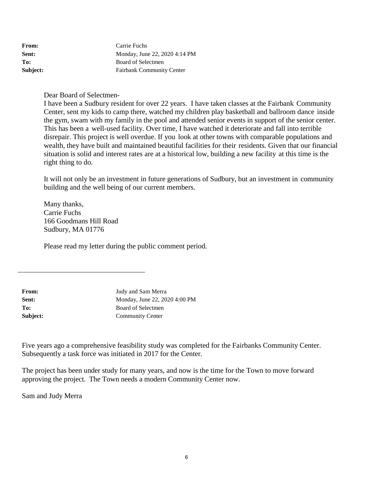| From:    | Carrie Fuchs                     |
|----------|----------------------------------|
| Sent:    | Monday, June 22, 2020 4:14 PM    |
| To:      | Board of Selectmen               |
| Subject: | <b>Fairbank Community Center</b> |

Dear Board of Selectmen-

I have been a Sudbury resident for over 22 years. I have taken classes at the Fairbank Community Center, sent my kids to camp there, watched my children play basketball and ballroom dance inside the gym, swam with my family in the pool and attended senior events in support of the senior center. This has been a well-used facility. Over time, I have watched it deteriorate and fall into terrible disrepair. This project is well overdue. If you look at other towns with comparable populations and wealth, they have built and maintained beautiful facilities for their residents. Given that our financial situation is solid and interest rates are at a historical low, building a new facility at this time is the right thing to do.

It will not only be an investment in future generations of Sudbury, but an investment in community building and the well being of our current members.

Many thanks, Carrie Fuchs 166 Goodmans Hill Road Sudbury, MA 01776

\_\_\_\_\_\_\_\_\_\_\_\_\_\_\_\_\_\_\_\_\_\_\_\_\_\_\_\_\_\_\_\_\_\_\_\_\_\_

Please read my letter during the public comment period.

From: Judy and Sam Merra **Sent:** Monday, June 22, 2020 4:00 PM To: Board of Selectmen **Subject:** Community Center

Five years ago a comprehensive feasibility study was completed for the Fairbanks Community Center. Subsequently a task force was initiated in 2017 for the Center.

The project has been under study for many years, and now is the time for the Town to move forward approving the project. The Town needs a modern Community Center now.

Sam and Judy Merra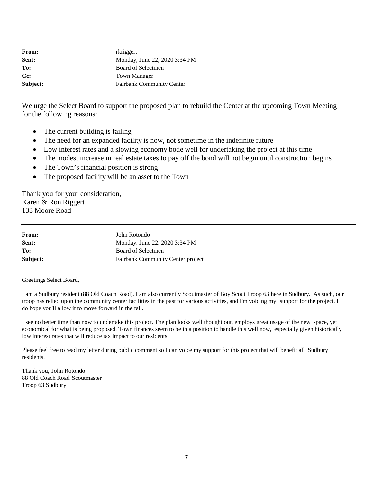| <b>From:</b>       | rkriggert                        |
|--------------------|----------------------------------|
| Sent:              | Monday, June 22, 2020 3:34 PM    |
| To:                | Board of Selectmen               |
| $C_{\mathbb{C}}$ : | Town Manager                     |
| Subject:           | <b>Fairbank Community Center</b> |

We urge the Select Board to support the proposed plan to rebuild the Center at the upcoming Town Meeting for the following reasons:

- The current building is failing
- The need for an expanded facility is now, not sometime in the indefinite future
- Low interest rates and a slowing economy bode well for undertaking the project at this time
- The modest increase in real estate taxes to pay off the bond will not begin until construction begins
- The Town's financial position is strong
- The proposed facility will be an asset to the Town

Thank you for your consideration, Karen & Ron Riggert 133 Moore Road

| From:    | John Rotondo                             |
|----------|------------------------------------------|
| Sent:    | Monday, June 22, 2020 3:34 PM            |
| To:      | Board of Selectmen                       |
| Subject: | <b>Fairbank Community Center project</b> |

Greetings Select Board,

I am a Sudbury resident (88 Old Coach Road). I am also currently Scoutmaster of Boy Scout Troop 63 here in Sudbury. As such, our troop has relied upon the community center facilities in the past for various activities, and I'm voicing my support for the project. I do hope you'll allow it to move forward in the fall.

I see no better time than now to undertake this project. The plan looks well thought out, employs great usage of the new space, yet economical for what is being proposed. Town finances seem to be in a position to handle this well now, especially given historically low interest rates that will reduce tax impact to our residents.

Please feel free to read my letter during public comment so I can voice my support for this project that will benefit all Sudbury residents.

Thank you, John Rotondo 88 Old Coach Road Scoutmaster Troop 63 Sudbury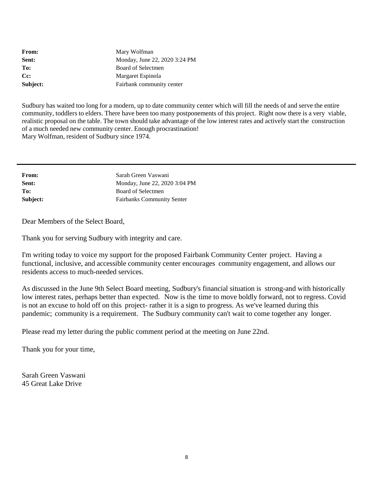| From:              | Mary Wolfman                  |
|--------------------|-------------------------------|
| Sent:              | Monday, June 22, 2020 3:24 PM |
| To:                | Board of Selectmen            |
| $C_{\mathbb{C}}$ : | Margaret Espinola             |
| Subject:           | Fairbank community center     |

Sudbury has waited too long for a modern, up to date community center which will fill the needs of and serve the entire community, toddlers to elders. There have been too many postponements of this project. Right now there is a very viable, realistic proposal on the table. The town should take advantage of the low interest rates and actively start the construction of a much needed new community center. Enough procrastination! Mary Wolfman, resident of Sudbury since 1974.

| Sarah Green Vaswani               |
|-----------------------------------|
| Monday, June 22, 2020 3:04 PM     |
| Board of Selectmen                |
| <b>Fairbanks Community Senter</b> |
|                                   |

Dear Members of the Select Board,

Thank you for serving Sudbury with integrity and care.

I'm writing today to voice my support for the proposed Fairbank Community Center project. Having a functional, inclusive, and accessible community center encourages community engagement, and allows our residents access to much-needed services.

As discussed in the June 9th Select Board meeting, Sudbury's financial situation is strong-and with historically low interest rates, perhaps better than expected. Now is the time to move boldly forward, not to regress. Covid is not an excuse to hold off on this project- rather it is a sign to progress. As we've learned during this pandemic; community is a requirement. The Sudbury community can't wait to come together any longer.

Please read my letter during the public comment period at the meeting on June 22nd.

Thank you for your time,

Sarah Green Vaswani 45 Great Lake Drive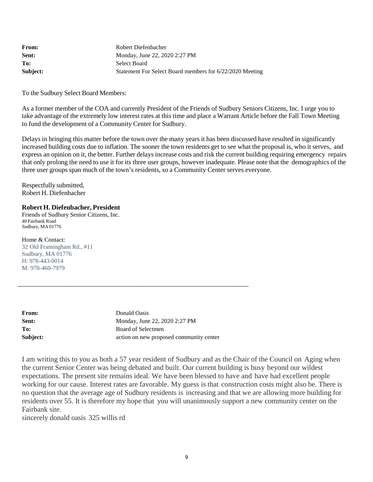| <b>From:</b> | Robert Diefenbacher                                      |
|--------------|----------------------------------------------------------|
| Sent:        | Monday, June 22, 2020 2:27 PM                            |
| To:          | Select Board                                             |
| Subject:     | Statement For Select Board members for 6/22/2020 Meeting |

To the Sudbury Select Board Members:

As a former member of the COA and currently President of the Friends of Sudbury Seniors Citizens, Inc. I urge you to take advantage of the extremely low interest rates at this time and place a Warrant Article before the Fall Town Meeting to fund the development of a Community Center for Sudbury.

Delays in bringing this matter before the town over the many years it has been discussed have resulted in significantly increased building costs due to inflation. The sooner the town residents get to see what the proposal is, who it serves, and express an opinion on it, the better. Further delays increase costs and risk the current building requiring emergency repairs that only prolong the need to use it for its three user groups, however inadequate. Please note that the demographics of the three user groups span much of the town's residents, so a Community Center serves everyone.

Respectfully submitted, Robert H. Diefenbacher

#### **Robert H. Diefenbacher, President**

Friends of Sudbury Senior Citizens, Inc. 40 Fairbank Road Sudbury, MA 01776

Home & Contact: 32 Old Framingham Rd., #11 Sudbury, MA 01776 H: 978-443-0014 M: 978-460-7979

| <b>From:</b> | Donald Oasis                            |
|--------------|-----------------------------------------|
| Sent:        | Monday, June 22, 2020 2:27 PM           |
| To:          | Board of Selectmen                      |
| Subject:     | action on new proposed community center |

\_\_\_\_\_\_\_\_\_\_\_\_\_\_\_\_\_\_\_\_\_\_\_\_\_\_\_\_\_\_\_\_\_\_\_\_\_\_\_\_\_\_\_\_\_\_\_\_\_\_\_\_\_\_\_\_\_\_\_\_\_\_\_\_\_\_\_\_\_

I am writing this to you as both a 57 year resident of Sudbury and as the Chair of the Council on Aging when the current Senior Center was being debated and built. Our current building is busy beyond our wildest expectations. The present site remains ideal. We have been blessed to have and have had excellent people working for our cause. Interest rates are favorable. My guess is that construction costs might also be. There is no question that the average age of Sudbury residents is increasing and that we are allowing more building for residents over 55. It is therefore my hope that you will unanimously support a new community center on the Fairbank site.

sincerely donald oasis 325 willis rd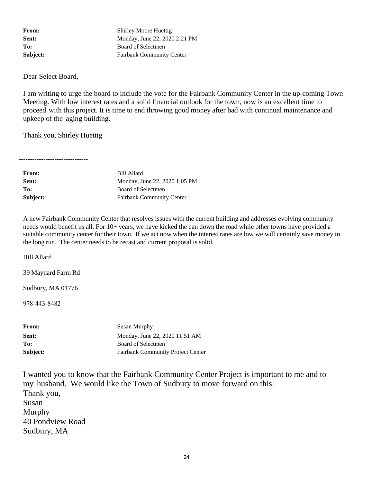From: Shirley Moore Huettig **Sent:** Monday, June 22, 2020 2:21 PM To: Board of Selectmen **Subject:** Fairbank Community Center

Dear Select Board,

I am writing to urge the board to include the vote for the Fairbank Community Center in the up-coming Town Meeting. With low interest rates and a solid financial outlook for the town, now is an excellent time to proceed with this project. It is time to end throwing good money after bad with continual maintenance and upkeep of the aging building.

Thank you, Shirley Huettig

-------------------------------

| Bill Allard                      |
|----------------------------------|
| Monday, June 22, 2020 1:05 PM    |
| Board of Selectmen               |
| <b>Fairbank Community Center</b> |
|                                  |

A new Fairbank Community Center that resolves issues with the current building and addresses evolving community needs would benefit us all. For 10+ years, we have kicked the can down the road while other towns have provided a suitable community center for their town. If we act now when the interest rates are low we will certainly save money in the long run. The center needs to be recast and current proposal is solid.

Bill Allard

39 Maynard Farm Rd

Sudbury, MA 01776

978‐443‐8482

| <b>From:</b> | Susan Murphy                             |
|--------------|------------------------------------------|
| Sent:        | Monday, June 22, 2020 11:51 AM           |
| To:          | Board of Selectmen                       |
| Subject:     | <b>Fairbank Community Project Center</b> |

I wanted you to know that the Fairbank Community Center Project is important to me and to my husband. We would like the Town of Sudbury to move forward on this. Thank you, Susan Murphy 40 Pondview Road Sudbury, MA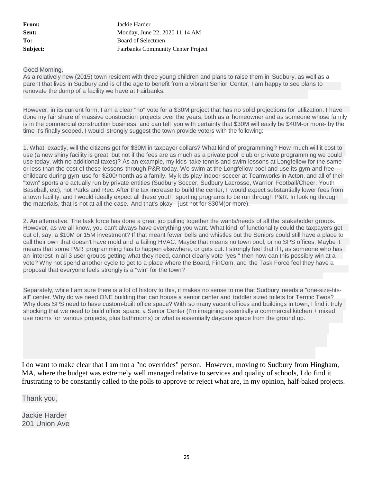**From:** Jackie Harder **Sent:** Monday, June 22, 2020 11:14 AM To: Board of Selectmen **Subject:** Fairbanks Community Center Project

#### Good Morning,

As a relatively new (2015) town resident with three young children and plans to raise them in Sudbury, as well as a parent that lives in Sudbury and is of the age to benefit from a vibrant Senior Center, I am happy to see plans to renovate the dump of a facility we have at Fairbanks.

However, in its current form, I am a clear "no" vote for a \$30M project that has no solid projections for utilization. I have done my fair share of massive construction projects over the years, both as a homeowner and as someone whose family is in the commercial construction business, and can tell you with certainty that \$30M will easily be \$40M-or more- by the time it's finally scoped. I would strongly suggest the town provide voters with the following:

1. What, exactly, will the citizens get for \$30M in taxpayer dollars? What kind of programming? How much will it cost to use (a new shiny facility is great, but not if the fees are as much as a private pool club or private programming we could use today, with no additional taxes)? As an example, my kids take tennis and swim lessons at Longfellow for the same or less than the cost of these lessons through P&R today. We swim at the Longfellow pool and use its gym and free childcare during gym use for \$200/month as a family. My kids play indoor soccer at Teamworks in Acton, and all of their "town" sports are actually run by private entities (Sudbury Soccer, Sudbury Lacrosse, Warrior Football/Cheer, Youth Baseball, etc), not Parks and Rec. After the tax increase to build the center, I would expect substantially lower fees from a town facility, and I would ideally expect all these youth sporting programs to be run through P&R. In looking through the materials, that is not at all the case. And that's okay-- just not for \$30M(or more).

2. An alternative. The task force has done a great job pulling together the wants/needs of all the stakeholder groups. However, as we all know, you can't always have everything you want. What kind of functionality could the taxpayers get out of, say, a \$10M or 15M investment? If that meant fewer bells and whistles but the Seniors could still have a place to call their own that doesn't have mold and a failing HVAC. Maybe that means no town pool, or no SPS offices. Maybe it means that some P&R programming has to happen elsewhere, or gets cut. I strongly feel that if I, as someone who has an interest in all 3 user groups getting what they need, cannot clearly vote "yes," then how can this possibly win at a vote? Why not spend another cycle to get to a place where the Board, FinCom, and the Task Force feel they have a proposal that everyone feels strongly is a "win" for the town?

Separately, while I am sure there is a lot of history to this, it makes no sense to me that Sudbury needs a "one-size-fitsall" center. Why do we need ONE building that can house a senior center and toddler sized toilets for Terrific Twos? Why does SPS need to have custom-built office space? With so many vacant offices and buildings in town, I find it truly shocking that we need to build office space, a Senior Center (I'm imagining essentially a commercial kitchen + mixed use rooms for various projects, plus bathrooms) or what is essentially daycare space from the ground up.

I do want to make clear that I am not a "no overrides" person. However, moving to Sudbury from Hingham, MA, where the budget was extremely well managed relative to services and quality of schools, I do find it frustrating to be constantly called to the polls to approve or reject what are, in my opinion, half-baked projects.

Thank you,

Jackie Harder 201 Union Ave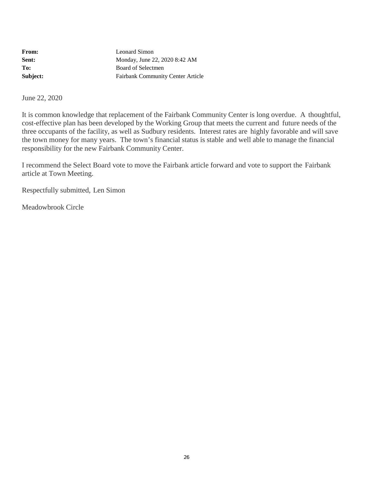| <b>From:</b> | Leonard Simon                            |
|--------------|------------------------------------------|
| Sent:        | Monday, June 22, 2020 8:42 AM            |
| To:          | Board of Selectmen                       |
| Subject:     | <b>Fairbank Community Center Article</b> |

June 22, 2020

It is common knowledge that replacement of the Fairbank Community Center is long overdue. A thoughtful, cost-effective plan has been developed by the Working Group that meets the current and future needs of the three occupants of the facility, as well as Sudbury residents. Interest rates are highly favorable and will save the town money for many years. The town's financial status is stable and well able to manage the financial responsibility for the new Fairbank Community Center.

I recommend the Select Board vote to move the Fairbank article forward and vote to support the Fairbank article at Town Meeting.

Respectfully submitted, Len Simon

Meadowbrook Circle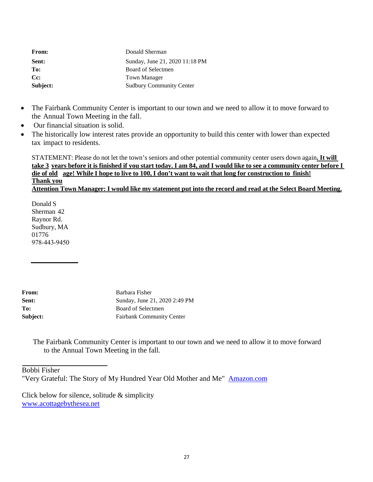| From:    | Donald Sherman                  |
|----------|---------------------------------|
| Sent:    | Sunday, June 21, 2020 11:18 PM  |
| To:      | Board of Selectmen              |
| Cc:      | Town Manager                    |
| Subject: | <b>Sudbury Community Center</b> |

- The Fairbank Community Center is important to our town and we need to allow it to move forward to the Annual Town Meeting in the fall.
- Our financial situation is solid.
- The historically low interest rates provide an opportunity to build this center with lower than expected tax impact to residents.

STATEMENT: Please do not let the town's seniors and other potential community center users down again**. It will** take 3 years before it is finished if you start today. I am 84, and I would like to see a community center before I die of old age! While I hope to live to 100, I don't want to wait that long for construction to finish! **Thank you** Attention Town Manager: I would like my statement put into the record and read at the Select Board Meeting.

Donald S Sherman 42 Raynor Rd. Sudbury, MA 01776 978‐443‐9450

From: Barbara Fisher **Sent:** Sunday, June 21, 2020 2:49 PM To: Board of Selectmen **Subject:** Fairbank Community Center

The Fairbank Community Center is important to our town and we need to allow it to move forward to the Annual Town Meeting in the fall.

Bobbi Fisher

"Very Grateful: The Story of My Hundred Year Old Mother and Me" Amazon.com

Click below for silence, solitude & simplicity [www.acottagebythesea.net](http://www.acottagebythesea.net/)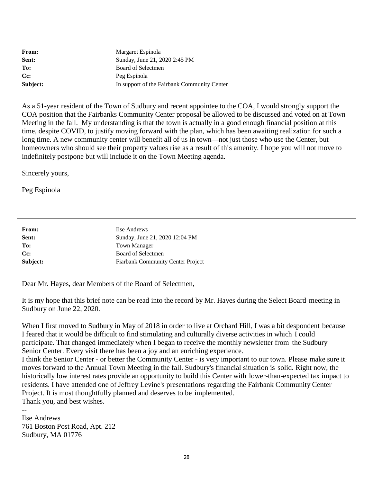| From:              | Margaret Espinola                           |
|--------------------|---------------------------------------------|
| Sent:              | Sunday, June 21, 2020 2:45 PM               |
| To:                | Board of Selectmen                          |
| $C_{\mathbb{C}}$ : | Peg Espinola                                |
| Subject:           | In support of the Fairbank Community Center |

As a 51-year resident of the Town of Sudbury and recent appointee to the COA, I would strongly support the COA position that the Fairbanks Community Center proposal be allowed to be discussed and voted on at Town Meeting in the fall. My understanding is that the town is actually in a good enough financial position at this time, despite COVID, to justify moving forward with the plan, which has been awaiting realization for such a long time. A new community center will benefit all of us in town—not just those who use the Center, but homeowners who should see their property values rise as a result of this amenity. I hope you will not move to indefinitely postpone but will include it on the Town Meeting agenda.

Sincerely yours,

Peg Espinola

| From:    | Ilse Andrews                             |
|----------|------------------------------------------|
| Sent:    | Sunday, June 21, 2020 12:04 PM           |
| To:      | <b>Town Manager</b>                      |
| Cc:      | Board of Selectmen                       |
| Subject: | <b>Fiarbank Community Center Project</b> |

Dear Mr. Hayes, dear Members of the Board of Selectmen,

It is my hope that this brief note can be read into the record by Mr. Hayes during the Select Board meeting in Sudbury on June 22, 2020.

When I first moved to Sudbury in May of 2018 in order to live at Orchard Hill, I was a bit despondent because I feared that it would be difficult to find stimulating and culturally diverse activities in which I could participate. That changed immediately when I began to receive the monthly newsletter from the Sudbury Senior Center. Every visit there has been a joy and an enriching experience.

I think the Senior Center - or better the Community Center - is very important to our town. Please make sure it moves forward to the Annual Town Meeting in the fall. Sudbury's financial situation is solid. Right now, the historically low interest rates provide an opportunity to build this Center with lower-than-expected tax impact to residents. I have attended one of Jeffrey Levine's presentations regarding the Fairbank Community Center Project. It is most thoughtfully planned and deserves to be implemented. Thank you, and best wishes.

Ilse Andrews 761 Boston Post Road, Apt. 212 Sudbury, MA 01776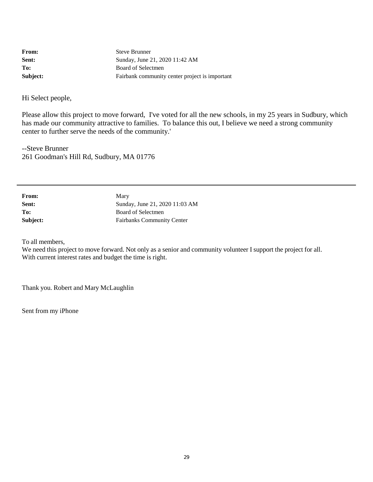| From:    | <b>Steve Brunner</b>                           |
|----------|------------------------------------------------|
| Sent:    | Sunday, June 21, 2020 11:42 AM                 |
| To:      | Board of Selectmen                             |
| Subject: | Fairbank community center project is important |

Hi Select people,

Please allow this project to move forward, I've voted for all the new schools, in my 25 years in Sudbury, which has made our community attractive to families. To balance this out, I believe we need a strong community center to further serve the needs of the community.'

--Steve Brunner 261 Goodman's Hill Rd, Sudbury, MA 01776

| From:    | Mary                              |
|----------|-----------------------------------|
| Sent:    | Sunday, June 21, 2020 11:03 AM    |
| To:      | Board of Selectmen                |
| Subject: | <b>Fairbanks Community Center</b> |

To all members,

We need this project to move forward. Not only as a senior and community volunteer I support the project for all. With current interest rates and budget the time is right.

Thank you. Robert and Mary McLaughlin

Sent from my iPhone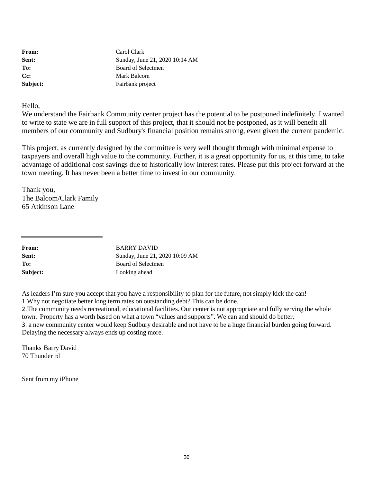From: Carol Clark **Sent:** Sunday, June 21, 2020 10:14 AM To: Board of Selectmen **Cc:** Mark Balcom **Subject:** Fairbank project

Hello,

We understand the Fairbank Community center project has the potential to be postponed indefinitely. I wanted to write to state we are in full support of this project, that it should not be postponed, as it will benefit all members of our community and Sudbury's financial position remains strong, even given the current pandemic.

This project, as currently designed by the committee is very well thought through with minimal expense to taxpayers and overall high value to the community. Further, it is a great opportunity for us, at this time, to take advantage of additional cost savings due to historically low interest rates. Please put this project forward at the town meeting. It has never been a better time to invest in our community.

Thank you, The Balcom/Clark Family 65 Atkinson Lane

| <b>From:</b> | <b>BARRY DAVID</b>             |
|--------------|--------------------------------|
| Sent:        | Sunday, June 21, 2020 10:09 AM |
| To:          | Board of Selectmen             |
| Subject:     | Looking ahead                  |

As leaders I'm sure you accept that you have a responsibility to plan for the future, not simply kick the can! 1.Why not negotiate better long term rates on outstanding debt? This can be done.

2.The community needs recreational, educational facilities. Our center is not appropriate and fully serving the whole town. Property has a worth based on what a town "values and supports". We can and should do better. 3. a new community center would keep Sudbury desirable and not have to be a huge financial burden going forward. Delaying the necessary always ends up costing more.

Thanks Barry David 70 Thunder rd

Sent from my iPhone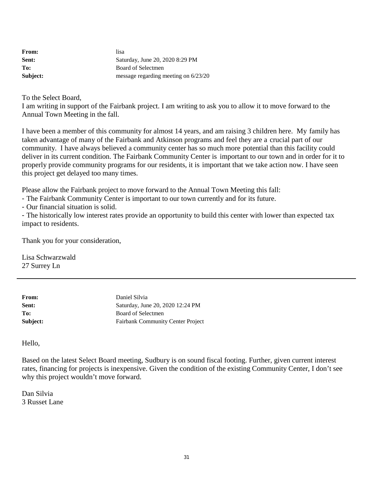| <b>From:</b> | lisa                                   |
|--------------|----------------------------------------|
| Sent:        | Saturday, June 20, 2020 8:29 PM        |
| To:          | Board of Selectmen                     |
| Subject:     | message regarding meeting on $6/23/20$ |

To the Select Board,

I am writing in support of the Fairbank project. I am writing to ask you to allow it to move forward to the Annual Town Meeting in the fall.

I have been a member of this community for almost 14 years, and am raising 3 children here. My family has taken advantage of many of the Fairbank and Atkinson programs and feel they are a crucial part of our community. I have always believed a community center has so much more potential than this facility could deliver in its current condition. The Fairbank Community Center is important to our town and in order for it to properly provide community programs for our residents, it is important that we take action now. I have seen this project get delayed too many times.

Please allow the Fairbank project to move forward to the Annual Town Meeting this fall:

- The Fairbank Community Center is important to our town currently and for its future.
- Our financial situation is solid.

- The historically low interest rates provide an opportunity to build this center with lower than expected tax impact to residents.

Thank you for your consideration,

Lisa Schwarzwald 27 Surrey Ln

| Daniel Silvia                            |
|------------------------------------------|
| Saturday, June 20, 2020 12:24 PM         |
| Board of Selectmen                       |
| <b>Fairbank Community Center Project</b> |
|                                          |

Hello,

Based on the latest Select Board meeting, Sudbury is on sound fiscal footing. Further, given current interest rates, financing for projects is inexpensive. Given the condition of the existing Community Center, I don't see why this project wouldn't move forward.

Dan Silvia 3 Russet Lane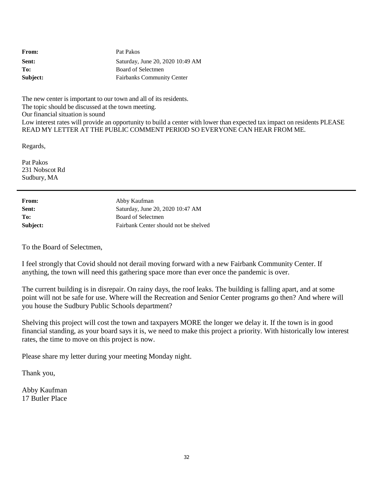| From:    | Pat Pakos                         |
|----------|-----------------------------------|
| Sent:    | Saturday, June 20, 2020 10:49 AM  |
| To:      | Board of Selectmen                |
| Subject: | <b>Fairbanks Community Center</b> |

The new center is important to our town and all of its residents. The topic should be discussed at the town meeting. Our financial situation is sound Low interest rates will provide an opportunity to build a center with lower than expected tax impact on residents PLEASE READ MY LETTER AT THE PUBLIC COMMENT PERIOD SO EVERYONE CAN HEAR FROM ME.

Regards,

Pat Pakos 231 Nobscot Rd Sudbury, MA

| From:    | Abby Kaufman                          |
|----------|---------------------------------------|
| Sent:    | Saturday, June 20, 2020 10:47 AM      |
| To:      | Board of Selectmen                    |
| Subject: | Fairbank Center should not be shelved |

To the Board of Selectmen,

I feel strongly that Covid should not derail moving forward with a new Fairbank Community Center. If anything, the town will need this gathering space more than ever once the pandemic is over.

The current building is in disrepair. On rainy days, the roof leaks. The building is falling apart, and at some point will not be safe for use. Where will the Recreation and Senior Center programs go then? And where will you house the Sudbury Public Schools department?

Shelving this project will cost the town and taxpayers MORE the longer we delay it. If the town is in good financial standing, as your board says it is, we need to make this project a priority. With historically low interest rates, the time to move on this project is now.

Please share my letter during your meeting Monday night.

Thank you,

Abby Kaufman 17 Butler Place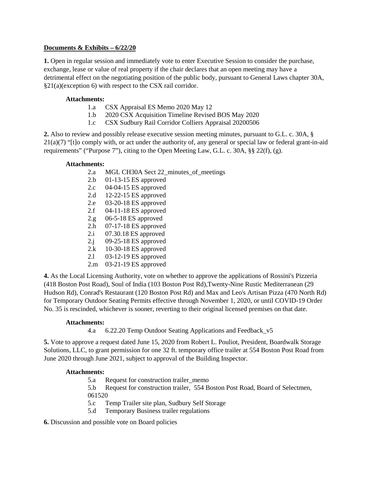## **Documents & Exhibits – 6/22/20**

**1.** Open in regular session and immediately vote to enter Executive Session to consider the purchase, exchange, lease or value of real property if the chair declares that an open meeting may have a detrimental effect on the negotiating position of the public body, pursuant to General Laws chapter 30A, §21(a)(exception 6) with respect to the CSX rail corridor.

## **Attachments:**

- 1.a CSX Appraisal ES Memo 2020 May 12
- 1.b 2020 CSX Acquisition Timeline Revised BOS May 2020
- 1.c [CSX Sudbury Rail Corridor Colliers Appraisal 20200506](file://ServerFL1/selectmen/Scanned%20Agenda%20Matl%202020/05.12/CSX%20Sudbury%20Rail%20Corridor%20Colliers%20Appraisal%2020200506.pdf)

**2.** Also to review and possibly release executive session meeting minutes, pursuant to G.L. c. 30A, §  $21(a)(7)$  "[t]o comply with, or act under the authority of, any general or special law or federal grant-in-aid requirements" ("Purpose 7"), citing to the Open Meeting Law, G.L. c. 30A, §§ 22(f), (g).

## **Attachments:**

- 2.a MGL CH30A Sect 22 minutes of meetings
- 2.b 01-13-15 ES approved
- 2.c 04-04-15 ES approved
- 2.d 12-22-15 ES approved
- 2.e 03-20-18 ES approved
- 2.f 04-11-18 ES approved
- 2.g 06-5-18 ES approved
- 2.h 07-17-18 ES approved
- 2.i 07.30.18 ES approved
- 2.j 09-25-18 ES approved
- 2.k 10-30-18 ES approved
- 2.l 03-12-19 ES approved
- 2.m 03-21-19 ES approved

**4.** As the Local Licensing Authority, vote on whether to approve the applications of Rossini's Pizzeria (418 Boston Post Road), Soul of India (103 Boston Post Rd),Twenty-Nine Rustic Mediterranean (29 Hudson Rd), Conrad's Restaurant (120 Boston Post Rd) and Max and Leo's Artisan Pizza (470 North Rd) for Temporary Outdoor Seating Permits effective through November 1, 2020, or until COVID-19 Order No. 35 is rescinded, whichever is sooner, reverting to their original licensed premises on that date.

## **Attachments:**

4.a 6.22.20 Temp Outdoor Seating Applications and Feedback\_v5

**5.** Vote to approve a request dated June 15, 2020 from Robert L. Pouliot, President, Boardwalk Storage Solutions, LLC, to grant permission for one 32 ft. temporary office trailer at 554 Boston Post Road from June 2020 through June 2021, subject to approval of the Building Inspector.

## **Attachments:**

5.a Request for construction trailer\_memo

5.b Request for construction trailer, 554 Boston Post Road, Board of Selectmen, 061520

- 5.c Temp Trailer site plan, Sudbury Self Storage
- 5.d Temporary Business trailer regulations

## **6.** Discussion and possible vote on Board policies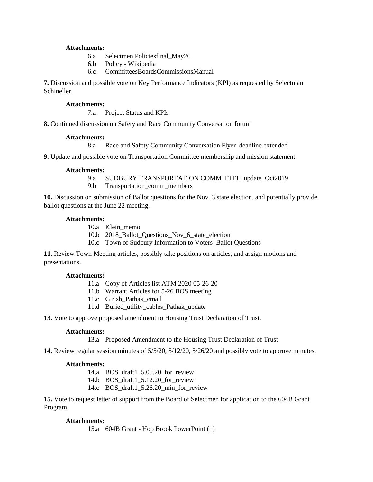#### **Attachments:**

- 6.a Selectmen Policiesfinal\_May26
- 6.b Policy Wikipedia
- 6.c CommitteesBoardsCommissionsManual

**7.** Discussion and possible vote on Key Performance Indicators (KPI) as requested by Selectman Schineller.

#### **Attachments:**

7.a Project Status and KPIs

**8.** Continued discussion on Safety and Race Community Conversation forum

## **Attachments:**

8.a Race and Safety Community Conversation Flyer\_deadline extended

**9.** Update and possible vote on Transportation Committee membership and mission statement.

#### **Attachments:**

9.a SUDBURY TRANSPORTATION COMMITTEE update Oct2019

9.b Transportation comm members

**10.** Discussion on submission of Ballot questions for the Nov. 3 state election, and potentially provide ballot questions at the June 22 meeting.

#### **Attachments:**

10.a Klein\_memo

10.b 2018 Ballot Questions Nov 6 state election

10.c Town of Sudbury Information to Voters\_Ballot Questions

**11.** Review Town Meeting articles, possibly take positions on articles, and assign motions and presentations.

## **Attachments:**

- 11.a Copy of Articles list ATM 2020 05-26-20
- 11.b Warrant Articles for 5-26 BOS meeting
- 11.c Girish\_Pathak\_email
- 11.d Buried\_utility\_cables\_Pathak\_update

**13.** Vote to approve proposed amendment to Housing Trust Declaration of Trust.

## **Attachments:**

13.a Proposed Amendment to the Housing Trust Declaration of Trust

**14.** Review regular session minutes of 5/5/20, 5/12/20, 5/26/20 and possibly vote to approve minutes.

## **Attachments:**

- 14.a BOS\_draft1\_5.05.20\_for\_review
- 14.b BOS draft1 5.12.20 for review
- 14.c BOS\_draft1\_5.26.20\_min\_for\_review

**15.** Vote to request letter of support from the Board of Selectmen for application to the 604B Grant Program.

## **Attachments:**

15.a 604B Grant - Hop Brook PowerPoint (1)